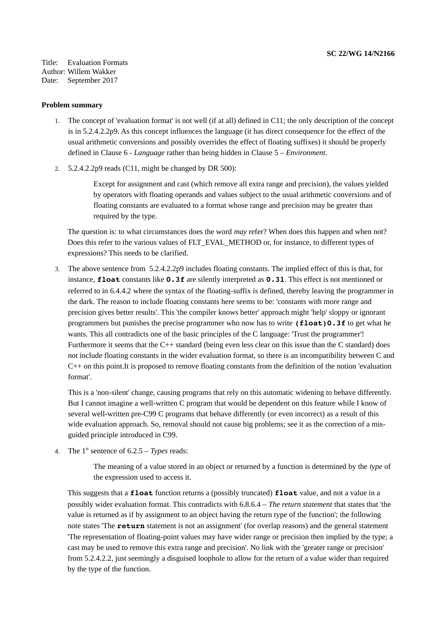Title: Evaluation Formats Author: Willem Wakker Date: September 2017

## **Problem summary**

- 1. The concept of 'evaluation format' is not well (if at all) defined in C11; the only description of the concept is in 5.2.4.2.2p9. As this concept influences the language (it has direct consequence for the effect of the usual arithmetic conversions and possibly overrides the effect of floating suffixes) it should be properly defined in Clause 6 - *Language* rather than being hidden in Clause 5 – *Environment*.
- 2. 5.2.4.2.2p9 reads (C11, might be changed by DR 500):

Except for assignment and cast (which remove all extra range and precision), the values yielded by operators with floating operands and values subject to the usual arithmetic conversions and of floating constants are evaluated to a format whose range and precision may be greater than required by the type.

The question is: to what circumstances does the word *may* refer? When does this happen and when not? Does this refer to the various values of FLT\_EVAL\_METHOD or, for instance, to different types of expressions? This needs to be clarified.

3. The above sentence from 5.2.4.2.2p9 includes floating constants. The implied effect of this is that, for instance, **float** constants like **0.3f** are silently interpreted as **0.3l**. This effect is not mentioned or referred to in 6.4.4.2 where the syntax of the floating-suffix is defined, thereby leaving the programmer in the dark. The reason to include floating constants here seems to be: 'constants with more range and precision gives better results'. This 'the compiler knows better' approach might 'help' sloppy or ignorant programmers but punishes the precise programmer who now has to write **(float)0.3f** to get what he wants. This all contradicts one of the basic principles of the C language: 'Trust the programmer'! Furthermore it seems that the C++ standard (being even less clear on this issue than the C standard) does not include floating constants in the wider evaluation format, so there is an incompatibility between C and C++ on this point.It is proposed to remove floating constants from the definition of the notion 'evaluation format'.

This is a 'non-silent' change, causing programs that rely on this automatic widening to behave differently. But I cannot imagine a well-written C program that would be dependent on this feature while I know of several well-written pre-C99 C programs that behave differently (or even incorrect) as a result of this wide evaluation approach. So, removal should not cause big problems; see it as the correction of a misguided principle introduced in C99.

4. The 1st sentence of 6.2.5 – *Types* reads:

The meaning of a value stored in an object or returned by a function is determined by the *type* of the expression used to access it.

This suggests that a **float** function returns a (possibly truncated) **float** value, and not a value in a possibly wider evaluation format. This contradicts with 6.8.6.4 – *The return statement* that states that 'the value is returned as if by assignment to an object having the return type of the function'; the following note states 'The **return** statement is not an assignment' (for overlap reasons) and the general statement 'The representation of floating-point values may have wider range or precision then implied by the type; a cast may be used to remove this extra range and precision'. No link with the 'greater range or precision' from 5.2.4.2.2, just seemingly a disguised loophole to allow for the return of a value wider than required by the type of the function.